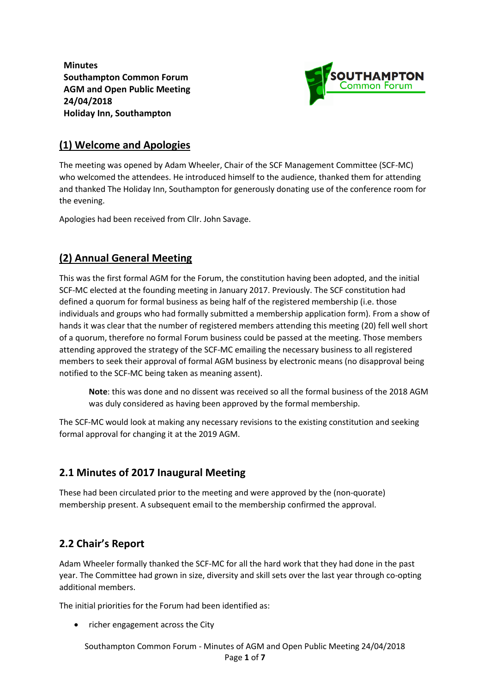**Minutes Southampton Common Forum AGM and Open Public Meeting 24/04/2018 Holiday Inn, Southampton**



#### **(1) Welcome and Apologies**

The meeting was opened by Adam Wheeler, Chair of the SCF Management Committee (SCF-MC) who welcomed the attendees. He introduced himself to the audience, thanked them for attending and thanked The Holiday Inn, Southampton for generously donating use of the conference room for the evening.

Apologies had been received from Cllr. John Savage.

## **(2) Annual General Meeting**

This was the first formal AGM for the Forum, the constitution having been adopted, and the initial SCF-MC elected at the founding meeting in January 2017. Previously. The SCF constitution had defined a quorum for formal business as being half of the registered membership (i.e. those individuals and groups who had formally submitted a membership application form). From a show of hands it was clear that the number of registered members attending this meeting (20) fell well short of a quorum, therefore no formal Forum business could be passed at the meeting. Those members attending approved the strategy of the SCF-MC emailing the necessary business to all registered members to seek their approval of formal AGM business by electronic means (no disapproval being notified to the SCF-MC being taken as meaning assent).

**Note**: this was done and no dissent was received so all the formal business of the 2018 AGM was duly considered as having been approved by the formal membership.

The SCF-MC would look at making any necessary revisions to the existing constitution and seeking formal approval for changing it at the 2019 AGM.

#### **2.1 Minutes of 2017 Inaugural Meeting**

These had been circulated prior to the meeting and were approved by the (non-quorate) membership present. A subsequent email to the membership confirmed the approval.

#### **2.2 Chair's Report**

Adam Wheeler formally thanked the SCF-MC for all the hard work that they had done in the past year. The Committee had grown in size, diversity and skill sets over the last year through co-opting additional members.

The initial priorities for the Forum had been identified as:

richer engagement across the City

Southampton Common Forum - Minutes of AGM and Open Public Meeting 24/04/2018 Page **1** of **7**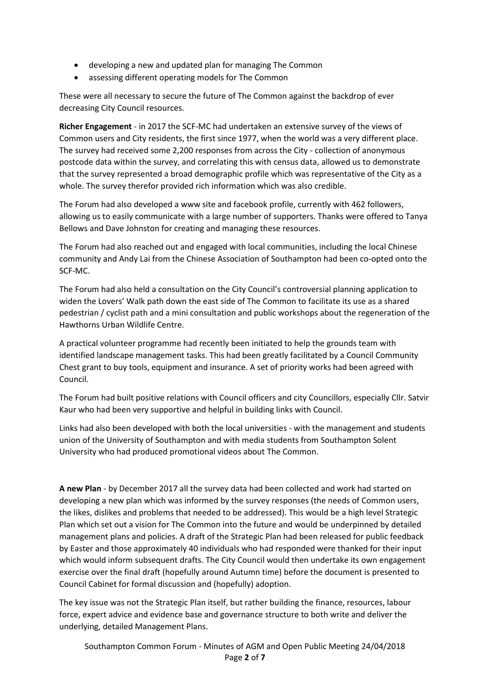- developing a new and updated plan for managing The Common
- assessing different operating models for The Common

These were all necessary to secure the future of The Common against the backdrop of ever decreasing City Council resources.

**Richer Engagement** - in 2017 the SCF-MC had undertaken an extensive survey of the views of Common users and City residents, the first since 1977, when the world was a very different place. The survey had received some 2,200 responses from across the City - collection of anonymous postcode data within the survey, and correlating this with census data, allowed us to demonstrate that the survey represented a broad demographic profile which was representative of the City as a whole. The survey therefor provided rich information which was also credible.

The Forum had also developed a www site and facebook profile, currently with 462 followers, allowing us to easily communicate with a large number of supporters. Thanks were offered to Tanya Bellows and Dave Johnston for creating and managing these resources.

The Forum had also reached out and engaged with local communities, including the local Chinese community and Andy Lai from the Chinese Association of Southampton had been co-opted onto the SCF-MC.

The Forum had also held a consultation on the City Council's controversial planning application to widen the Lovers' Walk path down the east side of The Common to facilitate its use as a shared pedestrian / cyclist path and a mini consultation and public workshops about the regeneration of the Hawthorns Urban Wildlife Centre.

A practical volunteer programme had recently been initiated to help the grounds team with identified landscape management tasks. This had been greatly facilitated by a Council Community Chest grant to buy tools, equipment and insurance. A set of priority works had been agreed with Council.

The Forum had built positive relations with Council officers and city Councillors, especially Cllr. Satvir Kaur who had been very supportive and helpful in building links with Council.

Links had also been developed with both the local universities - with the management and students union of the University of Southampton and with media students from Southampton Solent University who had produced promotional videos about The Common.

**A new Plan** - by December 2017 all the survey data had been collected and work had started on developing a new plan which was informed by the survey responses (the needs of Common users, the likes, dislikes and problems that needed to be addressed). This would be a high level Strategic Plan which set out a vision for The Common into the future and would be underpinned by detailed management plans and policies. A draft of the Strategic Plan had been released for public feedback by Easter and those approximately 40 individuals who had responded were thanked for their input which would inform subsequent drafts. The City Council would then undertake its own engagement exercise over the final draft (hopefully around Autumn time) before the document is presented to Council Cabinet for formal discussion and (hopefully) adoption.

The key issue was not the Strategic Plan itself, but rather building the finance, resources, labour force, expert advice and evidence base and governance structure to both write and deliver the underlying, detailed Management Plans.

Southampton Common Forum - Minutes of AGM and Open Public Meeting 24/04/2018 Page **2** of **7**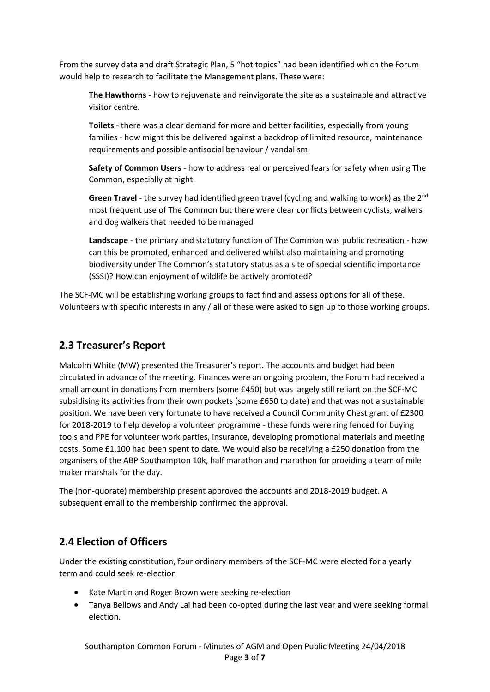From the survey data and draft Strategic Plan, 5 "hot topics" had been identified which the Forum would help to research to facilitate the Management plans. These were:

**The Hawthorns** - how to rejuvenate and reinvigorate the site as a sustainable and attractive visitor centre.

**Toilets** - there was a clear demand for more and better facilities, especially from young families - how might this be delivered against a backdrop of limited resource, maintenance requirements and possible antisocial behaviour / vandalism.

**Safety of Common Users** - how to address real or perceived fears for safety when using The Common, especially at night.

**Green Travel** - the survey had identified green travel (cycling and walking to work) as the 2nd most frequent use of The Common but there were clear conflicts between cyclists, walkers and dog walkers that needed to be managed

**Landscape** - the primary and statutory function of The Common was public recreation - how can this be promoted, enhanced and delivered whilst also maintaining and promoting biodiversity under The Common's statutory status as a site of special scientific importance (SSSI)? How can enjoyment of wildlife be actively promoted?

The SCF-MC will be establishing working groups to fact find and assess options for all of these. Volunteers with specific interests in any / all of these were asked to sign up to those working groups.

### **2.3 Treasurer's Report**

Malcolm White (MW) presented the Treasurer's report. The accounts and budget had been circulated in advance of the meeting. Finances were an ongoing problem, the Forum had received a small amount in donations from members (some £450) but was largely still reliant on the SCF-MC subsidising its activities from their own pockets (some £650 to date) and that was not a sustainable position. We have been very fortunate to have received a Council Community Chest grant of £2300 for 2018-2019 to help develop a volunteer programme - these funds were ring fenced for buying tools and PPE for volunteer work parties, insurance, developing promotional materials and meeting costs. Some £1,100 had been spent to date. We would also be receiving a £250 donation from the organisers of the ABP Southampton 10k, half marathon and marathon for providing a team of mile maker marshals for the day.

The (non-quorate) membership present approved the accounts and 2018-2019 budget. A subsequent email to the membership confirmed the approval.

#### **2.4 Election of Officers**

Under the existing constitution, four ordinary members of the SCF-MC were elected for a yearly term and could seek re-election

- Kate Martin and Roger Brown were seeking re-election
- Tanya Bellows and Andy Lai had been co-opted during the last year and were seeking formal election.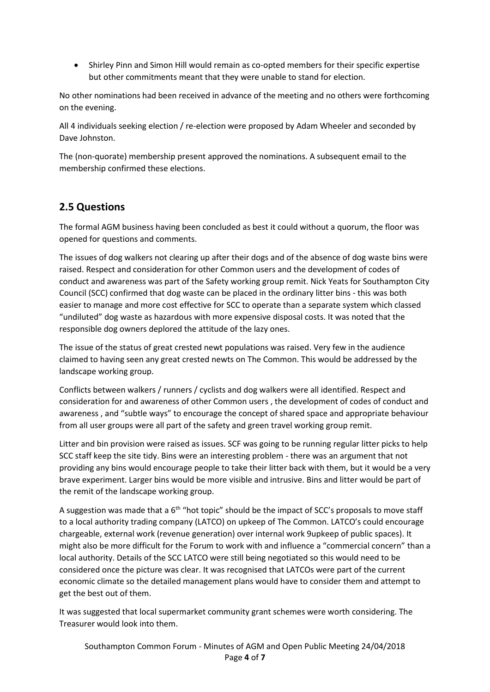Shirley Pinn and Simon Hill would remain as co-opted members for their specific expertise but other commitments meant that they were unable to stand for election.

No other nominations had been received in advance of the meeting and no others were forthcoming on the evening.

All 4 individuals seeking election / re-election were proposed by Adam Wheeler and seconded by Dave Johnston.

The (non-quorate) membership present approved the nominations. A subsequent email to the membership confirmed these elections.

#### **2.5 Questions**

The formal AGM business having been concluded as best it could without a quorum, the floor was opened for questions and comments.

The issues of dog walkers not clearing up after their dogs and of the absence of dog waste bins were raised. Respect and consideration for other Common users and the development of codes of conduct and awareness was part of the Safety working group remit. Nick Yeats for Southampton City Council (SCC) confirmed that dog waste can be placed in the ordinary litter bins - this was both easier to manage and more cost effective for SCC to operate than a separate system which classed "undiluted" dog waste as hazardous with more expensive disposal costs. It was noted that the responsible dog owners deplored the attitude of the lazy ones.

The issue of the status of great crested newt populations was raised. Very few in the audience claimed to having seen any great crested newts on The Common. This would be addressed by the landscape working group.

Conflicts between walkers / runners / cyclists and dog walkers were all identified. Respect and consideration for and awareness of other Common users , the development of codes of conduct and awareness , and "subtle ways" to encourage the concept of shared space and appropriate behaviour from all user groups were all part of the safety and green travel working group remit.

Litter and bin provision were raised as issues. SCF was going to be running regular litter picks to help SCC staff keep the site tidy. Bins were an interesting problem - there was an argument that not providing any bins would encourage people to take their litter back with them, but it would be a very brave experiment. Larger bins would be more visible and intrusive. Bins and litter would be part of the remit of the landscape working group.

A suggestion was made that a  $6<sup>th</sup>$  "hot topic" should be the impact of SCC's proposals to move staff to a local authority trading company (LATCO) on upkeep of The Common. LATCO's could encourage chargeable, external work (revenue generation) over internal work 9upkeep of public spaces). It might also be more difficult for the Forum to work with and influence a "commercial concern" than a local authority. Details of the SCC LATCO were still being negotiated so this would need to be considered once the picture was clear. It was recognised that LATCOs were part of the current economic climate so the detailed management plans would have to consider them and attempt to get the best out of them.

It was suggested that local supermarket community grant schemes were worth considering. The Treasurer would look into them.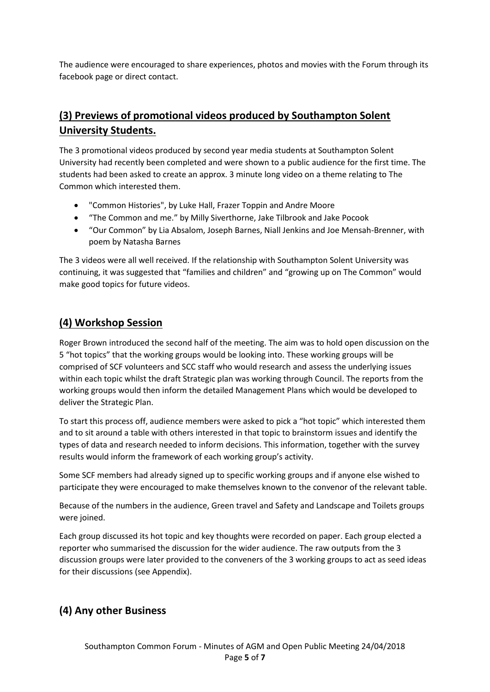The audience were encouraged to share experiences, photos and movies with the Forum through its facebook page or direct contact.

# **(3) Previews of promotional videos produced by Southampton Solent University Students.**

The 3 promotional videos produced by second year media students at Southampton Solent University had recently been completed and were shown to a public audience for the first time. The students had been asked to create an approx. 3 minute long video on a theme relating to The Common which interested them.

- "Common Histories", by Luke Hall, Frazer Toppin and Andre Moore
- "The Common and me." by Milly Siverthorne, Jake Tilbrook and Jake Pocook
- "Our Common" by Lia Absalom, Joseph Barnes, Niall Jenkins and Joe Mensah-Brenner, with poem by Natasha Barnes

The 3 videos were all well received. If the relationship with Southampton Solent University was continuing, it was suggested that "families and children" and "growing up on The Common" would make good topics for future videos.

#### **(4) Workshop Session**

Roger Brown introduced the second half of the meeting. The aim was to hold open discussion on the 5 "hot topics" that the working groups would be looking into. These working groups will be comprised of SCF volunteers and SCC staff who would research and assess the underlying issues within each topic whilst the draft Strategic plan was working through Council. The reports from the working groups would then inform the detailed Management Plans which would be developed to deliver the Strategic Plan.

To start this process off, audience members were asked to pick a "hot topic" which interested them and to sit around a table with others interested in that topic to brainstorm issues and identify the types of data and research needed to inform decisions. This information, together with the survey results would inform the framework of each working group's activity.

Some SCF members had already signed up to specific working groups and if anyone else wished to participate they were encouraged to make themselves known to the convenor of the relevant table.

Because of the numbers in the audience, Green travel and Safety and Landscape and Toilets groups were joined.

Each group discussed its hot topic and key thoughts were recorded on paper. Each group elected a reporter who summarised the discussion for the wider audience. The raw outputs from the 3 discussion groups were later provided to the conveners of the 3 working groups to act as seed ideas for their discussions (see Appendix).

#### **(4) Any other Business**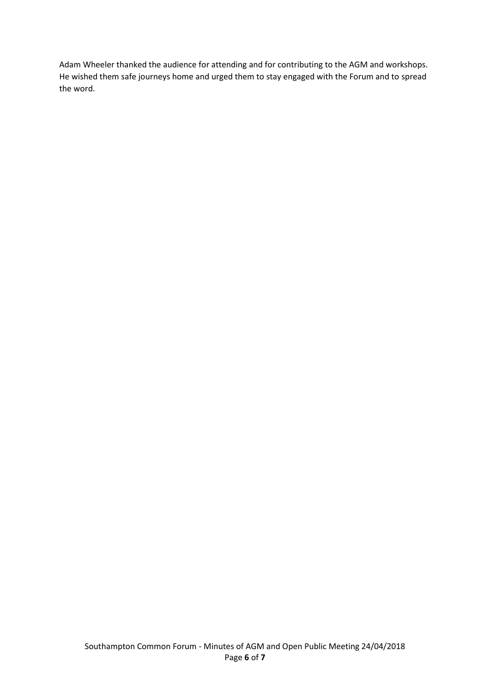Adam Wheeler thanked the audience for attending and for contributing to the AGM and workshops. He wished them safe journeys home and urged them to stay engaged with the Forum and to spread the word.